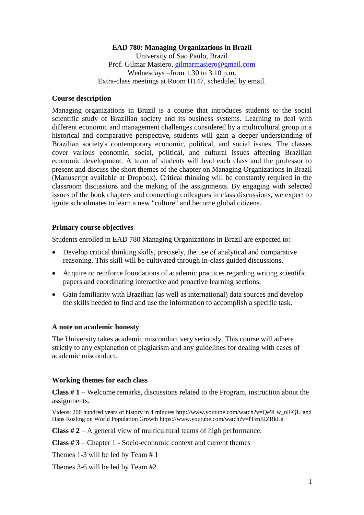## **EAD 780: Managing Organizations in Brazil** University of Sao Paulo, Brazil Prof. Gilmar Masiero, [gilmarmasiero@gmail.com](mailto:gilmarmasiero@gmail.com) Wednesdays –from 1.30 to 3.10 p.m. Extra-class meetings at Room H147, scheduled by email.

#### **Course description**

Managing organizations in Brazil is a course that introduces students to the social scientific study of Brazilian society and its business systems. Learning to deal with different economic and management challenges considered by a multicultural group in a historical and comparative perspective, students will gain a deeper understanding of Brazilian society's contemporary economic, political, and social issues. The classes cover various economic, social, political, and cultural issues affecting Brazilian economic development. A team of students will lead each class and the professor to present and discuss the short themes of the chapter on Managing Organizations in Brazil (Manuscript available at Dropbox). Critical thinking will be constantly required in the classroom discussions and the making of the assignments. By engaging with selected issues of the book chapters and connecting colleagues in class discussions, we expect to ignite schoolmates to learn a new "culture" and become global citizens.

### **Primary course objectives**

Students enrolled in EAD 780 Managing Organizations in Brazil are expected to:

- Develop critical thinking skills, precisely, the use of analytical and comparative reasoning. This skill will be cultivated through in-class guided discussions.
- Acquire or reinforce foundations of academic practices regarding writing scientific papers and coordinating interactive and proactive learning sections.
- Gain familiarity with Brazilian (as well as international) data sources and develop the skills needed to find and use the information to accomplish a specific task.

### **A note on academic honesty**

The University takes academic misconduct very seriously. This course will adhere strictly to any explanation of plagiarism and any guidelines for dealing with cases of academic misconduct.

#### **Working themes for each class**

**Class # 1** – Welcome remarks, discussions related to the Program, instruction about the assignments.

Vídeos: 200 hundred years of history in 4 minutes http://www.youtube.com/watch?v=Qe9Lw\_nlFQU and Hans Rosling on World Population Growth https://www.youtube.com/watch?v=fTznEIZRkLg

**Class # 2** – A general view of multicultural teams of high performance.

**Class # 3** – Chapter 1 - Socio-economic context and current themes

Themes 1-3 will be led by Team # 1

Themes 3-6 will be led by Team #2.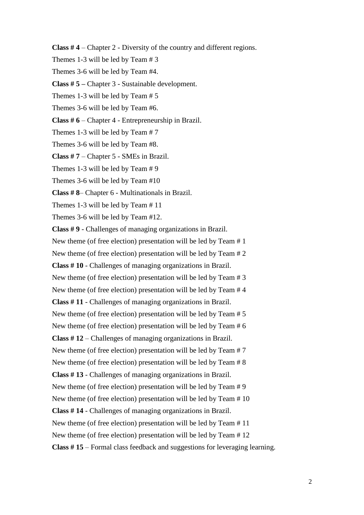**Class # 4** – Chapter 2 - Diversity of the country and different regions.

Themes 1-3 will be led by Team # 3

Themes 3-6 will be led by Team #4.

**Class # 5 –** Chapter 3 - Sustainable development.

Themes 1-3 will be led by Team # 5

Themes 3-6 will be led by Team #6.

**Class # 6** – Chapter 4 - Entrepreneurship in Brazil.

Themes 1-3 will be led by Team # 7

Themes 3-6 will be led by Team #8.

**Class # 7** – Chapter 5 - SMEs in Brazil.

Themes 1-3 will be led by Team # 9

Themes 3-6 will be led by Team #10

**Class # 8**– Chapter 6 - Multinationals in Brazil.

Themes 1-3 will be led by Team # 11

Themes 3-6 will be led by Team #12.

**Class # 9** - Challenges of managing organizations in Brazil.

New theme (of free election) presentation will be led by Team # 1

New theme (of free election) presentation will be led by Team # 2

**Class # 10** - Challenges of managing organizations in Brazil.

New theme (of free election) presentation will be led by Team # 3

New theme (of free election) presentation will be led by Team # 4

**Class # 11** - Challenges of managing organizations in Brazil.

New theme (of free election) presentation will be led by Team # 5

New theme (of free election) presentation will be led by Team # 6

**Class # 12** – Challenges of managing organizations in Brazil.

New theme (of free election) presentation will be led by Team # 7

New theme (of free election) presentation will be led by Team # 8

**Class # 13** - Challenges of managing organizations in Brazil.

New theme (of free election) presentation will be led by Team # 9

New theme (of free election) presentation will be led by Team # 10

**Class # 14** - Challenges of managing organizations in Brazil.

New theme (of free election) presentation will be led by Team # 11

New theme (of free election) presentation will be led by Team # 12

**Class # 15** – Formal class feedback and suggestions for leveraging learning.